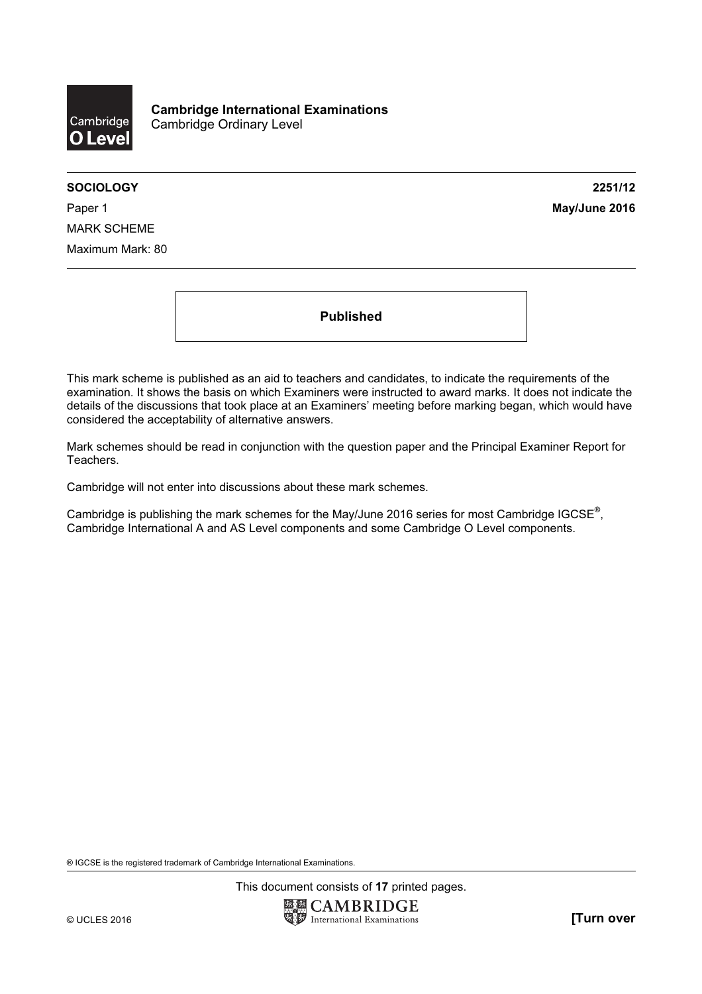

SOCIOLOGY 2251/12

Paper 1 **May/June 2016** MARK SCHEME Maximum Mark: 80

Published

This mark scheme is published as an aid to teachers and candidates, to indicate the requirements of the examination. It shows the basis on which Examiners were instructed to award marks. It does not indicate the details of the discussions that took place at an Examiners' meeting before marking began, which would have considered the acceptability of alternative answers.

Mark schemes should be read in conjunction with the question paper and the Principal Examiner Report for Teachers.

Cambridge will not enter into discussions about these mark schemes.

Cambridge is publishing the mark schemes for the May/June 2016 series for most Cambridge IGCSE*®* , Cambridge International A and AS Level components and some Cambridge O Level components.

® IGCSE is the registered trademark of Cambridge International Examinations.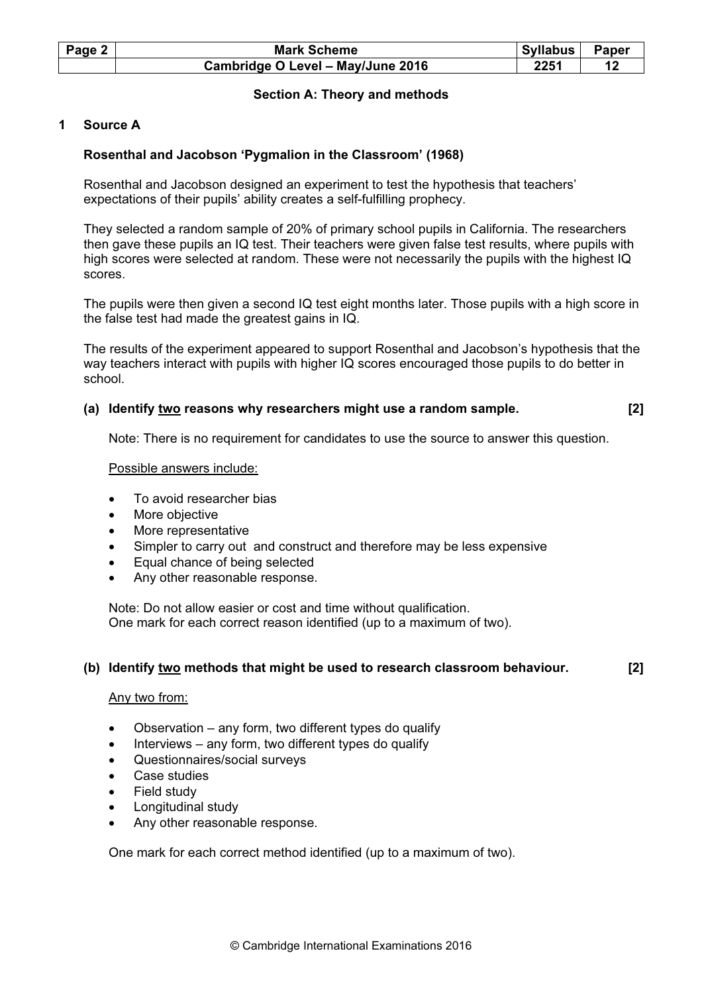| Page 2 | <b>Mark Scheme</b>                | Syllabus | <b>Paper</b> |
|--------|-----------------------------------|----------|--------------|
|        | Cambridge O Level - May/June 2016 | 2251     |              |

## Section A: Theory and methods

## 1 Source A

#### Rosenthal and Jacobson 'Pygmalion in the Classroom' (1968)

Rosenthal and Jacobson designed an experiment to test the hypothesis that teachers' expectations of their pupils' ability creates a self-fulfilling prophecy.

They selected a random sample of 20% of primary school pupils in California. The researchers then gave these pupils an IQ test. Their teachers were given false test results, where pupils with high scores were selected at random. These were not necessarily the pupils with the highest IQ scores.

The pupils were then given a second IQ test eight months later. Those pupils with a high score in the false test had made the greatest gains in IQ.

The results of the experiment appeared to support Rosenthal and Jacobson's hypothesis that the way teachers interact with pupils with higher IQ scores encouraged those pupils to do better in school.

#### (a) Identify two reasons why researchers might use a random sample. [2]

Note: There is no requirement for candidates to use the source to answer this question.

#### Possible answers include:

- To avoid researcher bias
- More objective
- More representative
- Simpler to carry out and construct and therefore may be less expensive
- Equal chance of being selected
- Any other reasonable response.

Note: Do not allow easier or cost and time without qualification. One mark for each correct reason identified (up to a maximum of two).

#### (b) Identify two methods that might be used to research classroom behaviour. [2]

#### Any two from:

- Observation  $-$  any form, two different types do qualify
- Interviews  $-$  any form, two different types do qualify
- Questionnaires/social surveys
- Case studies
- Field study
- Longitudinal study
- Any other reasonable response.

One mark for each correct method identified (up to a maximum of two).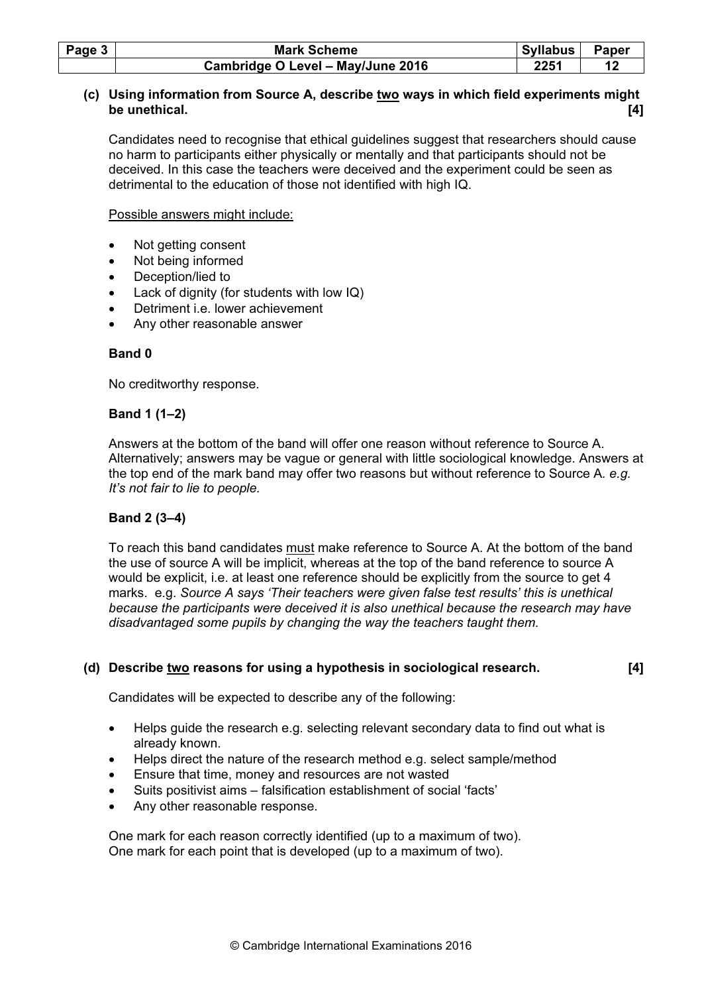| Page $3$ | <b>Mark Scheme</b>                | Syllabus | Paper |
|----------|-----------------------------------|----------|-------|
|          | Cambridge O Level - May/June 2016 | 2251     |       |

## (c) Using information from Source A, describe two ways in which field experiments might be unethical. [4]

Candidates need to recognise that ethical guidelines suggest that researchers should cause no harm to participants either physically or mentally and that participants should not be deceived. In this case the teachers were deceived and the experiment could be seen as detrimental to the education of those not identified with high IQ.

Possible answers might include:

- Not getting consent
- Not being informed
- Deception/lied to
- Lack of dignity (for students with low IQ)
- Detriment i.e. lower achievement
- Any other reasonable answer

#### Band 0

No creditworthy response.

#### Band 1 (1–2)

Answers at the bottom of the band will offer one reason without reference to Source A. Alternatively; answers may be vague or general with little sociological knowledge. Answers at the top end of the mark band may offer two reasons but without reference to Source A. e.g. It's not fair to lie to people.

## Band 2 (3–4)

To reach this band candidates must make reference to Source A. At the bottom of the band the use of source A will be implicit, whereas at the top of the band reference to source A would be explicit, i.e. at least one reference should be explicitly from the source to get 4 marks. e.g. Source A says 'Their teachers were given false test results' this is unethical because the participants were deceived it is also unethical because the research may have disadvantaged some pupils by changing the way the teachers taught them.

## (d) Describe two reasons for using a hypothesis in sociological research. [4]

Candidates will be expected to describe any of the following:

- Helps guide the research e.g. selecting relevant secondary data to find out what is already known.
- Helps direct the nature of the research method e.g. select sample/method
- Ensure that time, money and resources are not wasted
- Suits positivist aims falsification establishment of social 'facts'
- Any other reasonable response.

One mark for each reason correctly identified (up to a maximum of two). One mark for each point that is developed (up to a maximum of two).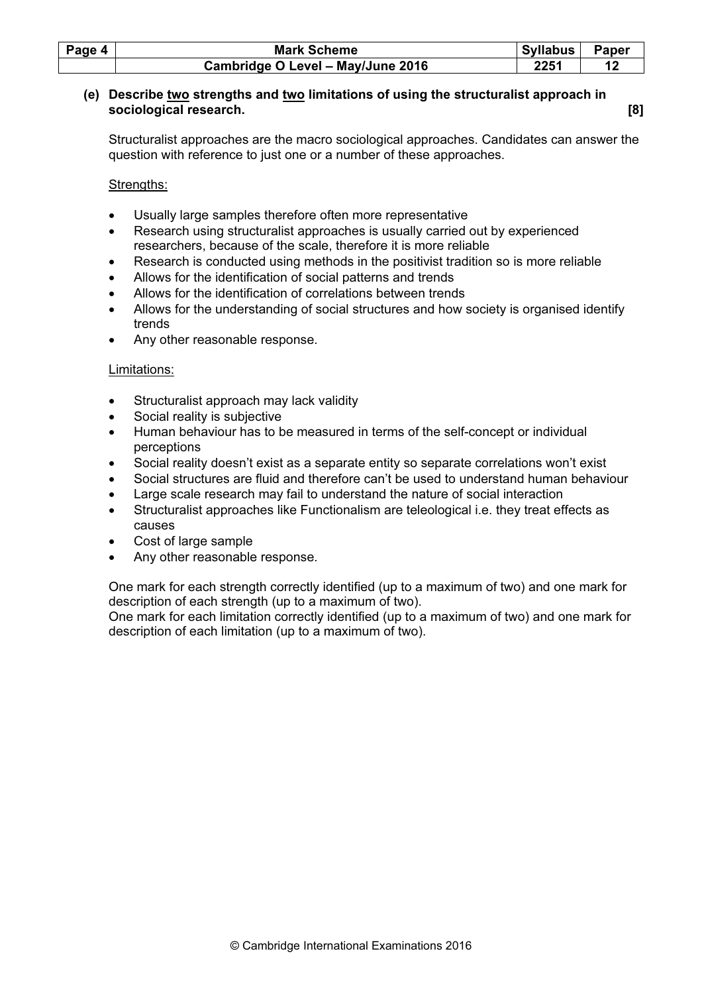| Page 4 | <b>Mark Scheme</b>                | Syllabus | Paper |
|--------|-----------------------------------|----------|-------|
|        | Cambridge O Level - May/June 2016 | 2251     |       |

#### (e) Describe two strengths and two limitations of using the structuralist approach in sociological research. [8]

Structuralist approaches are the macro sociological approaches. Candidates can answer the question with reference to just one or a number of these approaches.

Strengths:

- Usually large samples therefore often more representative
- Research using structuralist approaches is usually carried out by experienced researchers, because of the scale, therefore it is more reliable
- Research is conducted using methods in the positivist tradition so is more reliable
- Allows for the identification of social patterns and trends
- Allows for the identification of correlations between trends
- Allows for the understanding of social structures and how society is organised identify trends
- Any other reasonable response.

#### Limitations:

- Structuralist approach may lack validity
- Social reality is subjective
- Human behaviour has to be measured in terms of the self-concept or individual perceptions
- Social reality doesn't exist as a separate entity so separate correlations won't exist
- Social structures are fluid and therefore can't be used to understand human behaviour
- Large scale research may fail to understand the nature of social interaction
- Structuralist approaches like Functionalism are teleological i.e. they treat effects as causes
- Cost of large sample
- Any other reasonable response.

One mark for each strength correctly identified (up to a maximum of two) and one mark for description of each strength (up to a maximum of two).

One mark for each limitation correctly identified (up to a maximum of two) and one mark for description of each limitation (up to a maximum of two).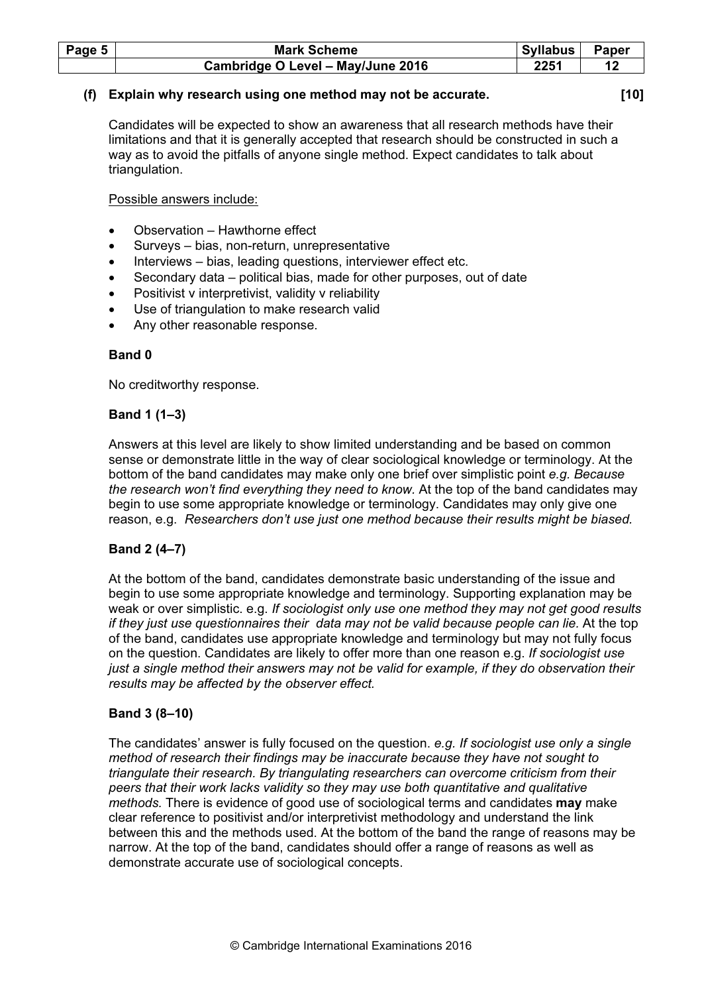| Page 5 | <b>Mark Scheme</b>                | Syllabus | Paper |
|--------|-----------------------------------|----------|-------|
|        | Cambridge O Level - May/June 2016 | 2251     |       |

## (f) Explain why research using one method may not be accurate. [10]

Candidates will be expected to show an awareness that all research methods have their limitations and that it is generally accepted that research should be constructed in such a way as to avoid the pitfalls of anyone single method. Expect candidates to talk about triangulation.

Possible answers include:

- Observation Hawthorne effect
- Surveys bias, non-return, unrepresentative
- Interviews bias, leading questions, interviewer effect etc.
- Secondary data political bias, made for other purposes, out of date
- Positivist v interpretivist, validity v reliability
- Use of triangulation to make research valid
- Any other reasonable response.

#### Band 0

No creditworthy response.

#### Band 1 (1–3)

Answers at this level are likely to show limited understanding and be based on common sense or demonstrate little in the way of clear sociological knowledge or terminology. At the bottom of the band candidates may make only one brief over simplistic point e.g. Because the research won't find everything they need to know. At the top of the band candidates may begin to use some appropriate knowledge or terminology. Candidates may only give one reason, e.g. Researchers don't use just one method because their results might be biased.

#### Band 2 (4–7)

At the bottom of the band, candidates demonstrate basic understanding of the issue and begin to use some appropriate knowledge and terminology. Supporting explanation may be weak or over simplistic. e.g. If sociologist only use one method they may not get good results if they just use questionnaires their data may not be valid because people can lie. At the top of the band, candidates use appropriate knowledge and terminology but may not fully focus on the question. Candidates are likely to offer more than one reason e.g. If sociologist use just a single method their answers may not be valid for example, if they do observation their results may be affected by the observer effect.

#### Band 3 (8–10)

The candidates' answer is fully focused on the question. e.g. If sociologist use only a single method of research their findings may be inaccurate because they have not sought to triangulate their research. By triangulating researchers can overcome criticism from their peers that their work lacks validity so they may use both quantitative and qualitative methods. There is evidence of good use of sociological terms and candidates may make clear reference to positivist and/or interpretivist methodology and understand the link between this and the methods used. At the bottom of the band the range of reasons may be narrow. At the top of the band, candidates should offer a range of reasons as well as demonstrate accurate use of sociological concepts.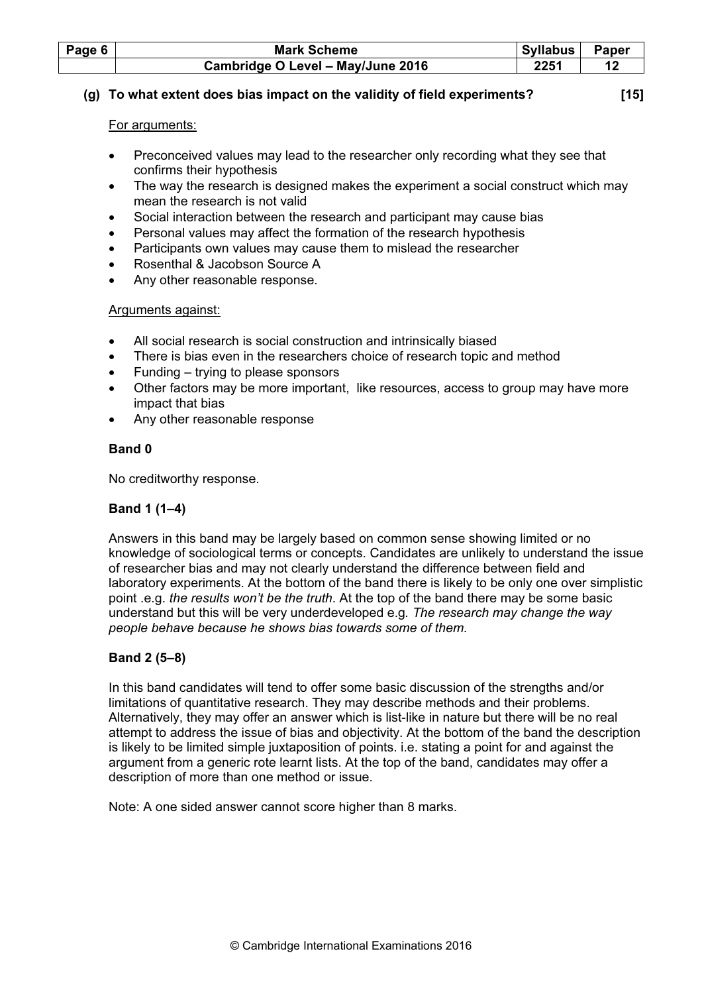| Page 6 | <b>Mark Scheme</b>                | <b>Syllabus</b> | <b>Paper</b> |
|--------|-----------------------------------|-----------------|--------------|
|        | Cambridge O Level - May/June 2016 | 2251            |              |

## (g) To what extent does bias impact on the validity of field experiments? [15]

## For arguments:

- Preconceived values may lead to the researcher only recording what they see that confirms their hypothesis
- The way the research is designed makes the experiment a social construct which may mean the research is not valid
- Social interaction between the research and participant may cause bias
- Personal values may affect the formation of the research hypothesis
- Participants own values may cause them to mislead the researcher
- Rosenthal & Jacobson Source A
- Any other reasonable response.

## Arguments against:

- All social research is social construction and intrinsically biased
- There is bias even in the researchers choice of research topic and method
- Funding trying to please sponsors
- Other factors may be more important, like resources, access to group may have more impact that bias
- Any other reasonable response

# Band 0

No creditworthy response.

# Band 1 (1–4)

Answers in this band may be largely based on common sense showing limited or no knowledge of sociological terms or concepts. Candidates are unlikely to understand the issue of researcher bias and may not clearly understand the difference between field and laboratory experiments. At the bottom of the band there is likely to be only one over simplistic point .e.g. the results won't be the truth. At the top of the band there may be some basic understand but this will be very underdeveloped e.g. The research may change the way people behave because he shows bias towards some of them.

# Band 2 (5–8)

In this band candidates will tend to offer some basic discussion of the strengths and/or limitations of quantitative research. They may describe methods and their problems. Alternatively, they may offer an answer which is list-like in nature but there will be no real attempt to address the issue of bias and objectivity. At the bottom of the band the description is likely to be limited simple juxtaposition of points. i.e. stating a point for and against the argument from a generic rote learnt lists. At the top of the band, candidates may offer a description of more than one method or issue.

Note: A one sided answer cannot score higher than 8 marks.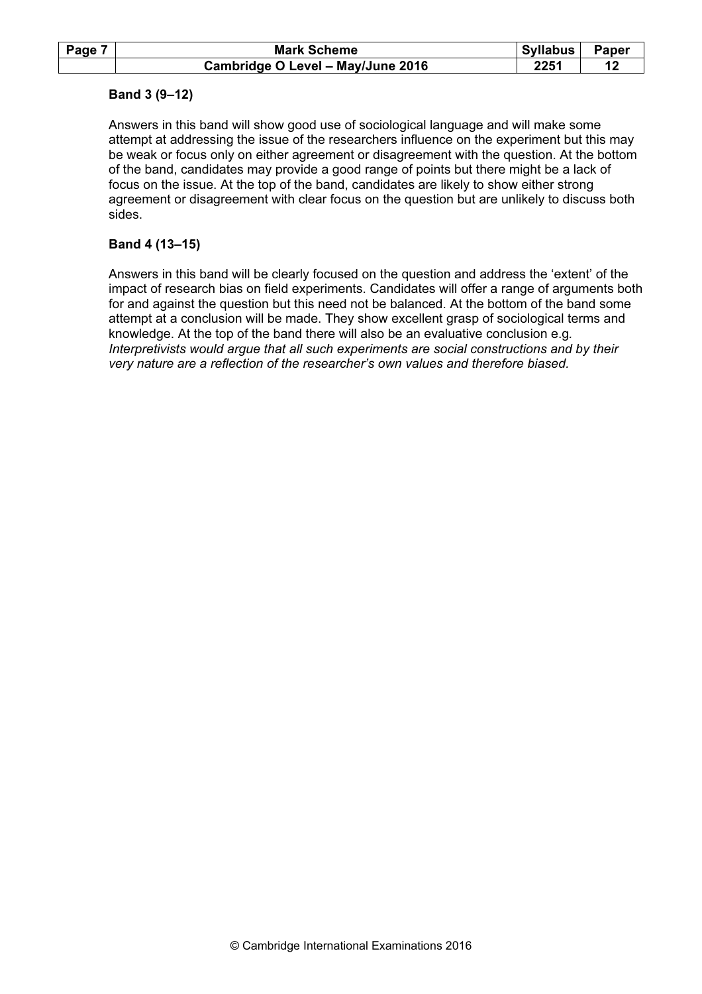| Page | <b>Mark Scheme</b>                | Syllabus | <b>Paper</b> |
|------|-----------------------------------|----------|--------------|
|      | Cambridge O Level - May/June 2016 | 2251     |              |

## Band 3 (9–12)

Answers in this band will show good use of sociological language and will make some attempt at addressing the issue of the researchers influence on the experiment but this may be weak or focus only on either agreement or disagreement with the question. At the bottom of the band, candidates may provide a good range of points but there might be a lack of focus on the issue. At the top of the band, candidates are likely to show either strong agreement or disagreement with clear focus on the question but are unlikely to discuss both sides.

#### Band 4 (13–15)

Answers in this band will be clearly focused on the question and address the 'extent' of the impact of research bias on field experiments. Candidates will offer a range of arguments both for and against the question but this need not be balanced. At the bottom of the band some attempt at a conclusion will be made. They show excellent grasp of sociological terms and knowledge. At the top of the band there will also be an evaluative conclusion e.g. Interpretivists would argue that all such experiments are social constructions and by their very nature are a reflection of the researcher's own values and therefore biased.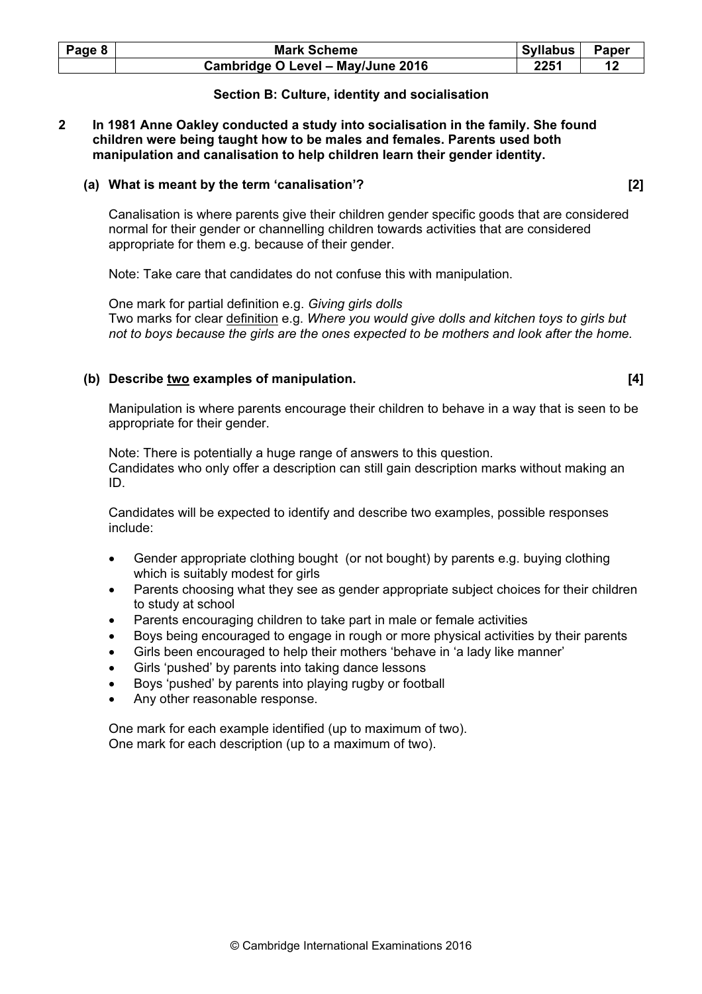| Page 8 | <b>Mark Scheme</b>                | Syllabus | Paper |
|--------|-----------------------------------|----------|-------|
|        | Cambridge O Level - May/June 2016 | 2251     |       |

#### Section B: Culture, identity and socialisation

#### 2 In 1981 Anne Oakley conducted a study into socialisation in the family. She found children were being taught how to be males and females. Parents used both manipulation and canalisation to help children learn their gender identity.

#### (a) What is meant by the term 'canalisation'? [2]

Canalisation is where parents give their children gender specific goods that are considered normal for their gender or channelling children towards activities that are considered appropriate for them e.g. because of their gender.

Note: Take care that candidates do not confuse this with manipulation.

One mark for partial definition e.g. Giving girls dolls Two marks for clear definition e.g. Where you would give dolls and kitchen toys to girls but not to boys because the girls are the ones expected to be mothers and look after the home.

#### (b) Describe two examples of manipulation.  $[4]$

Manipulation is where parents encourage their children to behave in a way that is seen to be appropriate for their gender.

Note: There is potentially a huge range of answers to this question. Candidates who only offer a description can still gain description marks without making an ID.

Candidates will be expected to identify and describe two examples, possible responses include:

- Gender appropriate clothing bought (or not bought) by parents e.g. buying clothing which is suitably modest for girls
- Parents choosing what they see as gender appropriate subject choices for their children to study at school
- Parents encouraging children to take part in male or female activities
- Boys being encouraged to engage in rough or more physical activities by their parents
- Girls been encouraged to help their mothers 'behave in 'a lady like manner'
- Girls 'pushed' by parents into taking dance lessons
- Boys 'pushed' by parents into playing rugby or football
- Any other reasonable response.

One mark for each example identified (up to maximum of two). One mark for each description (up to a maximum of two).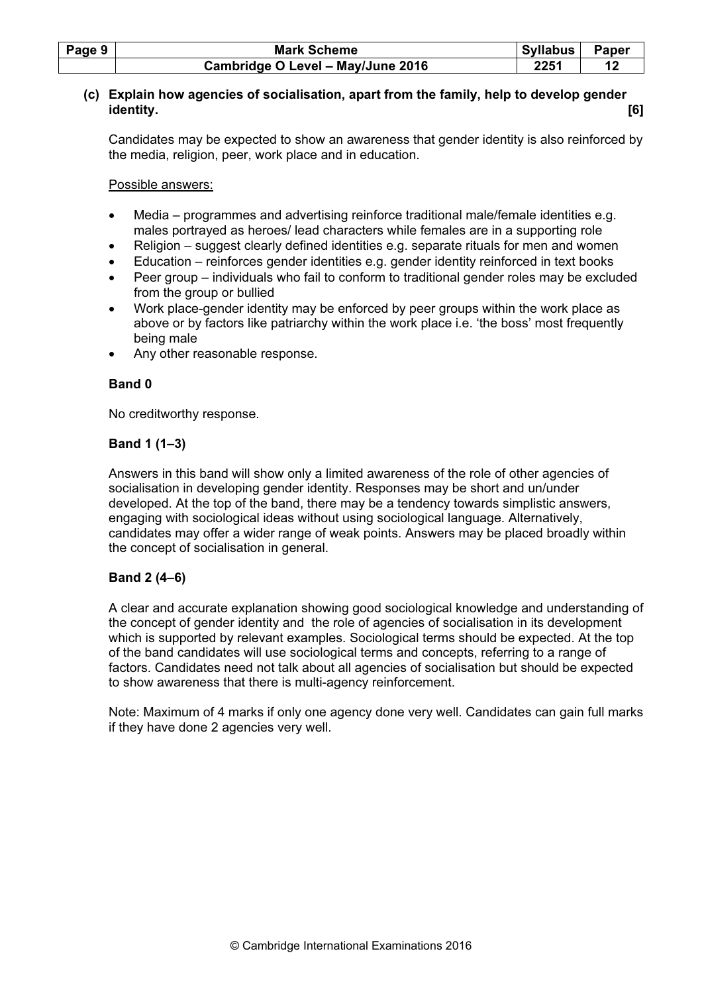| Page 9 | <b>Mark Scheme</b>                | Syllabus | Paper |
|--------|-----------------------------------|----------|-------|
|        | Cambridge O Level - May/June 2016 | 2251     |       |

## (c) Explain how agencies of socialisation, apart from the family, help to develop gender identity. [6]

Candidates may be expected to show an awareness that gender identity is also reinforced by the media, religion, peer, work place and in education.

Possible answers:

- Media programmes and advertising reinforce traditional male/female identities e.g. males portrayed as heroes/ lead characters while females are in a supporting role
- Religion suggest clearly defined identities e.g. separate rituals for men and women
- Education reinforces gender identities e.g. gender identity reinforced in text books
- Peer group individuals who fail to conform to traditional gender roles may be excluded from the group or bullied
- Work place-gender identity may be enforced by peer groups within the work place as above or by factors like patriarchy within the work place i.e. 'the boss' most frequently being male
- Any other reasonable response.

## Band 0

No creditworthy response.

## Band 1 (1–3)

Answers in this band will show only a limited awareness of the role of other agencies of socialisation in developing gender identity. Responses may be short and un/under developed. At the top of the band, there may be a tendency towards simplistic answers, engaging with sociological ideas without using sociological language. Alternatively, candidates may offer a wider range of weak points. Answers may be placed broadly within the concept of socialisation in general.

## Band 2 (4–6)

A clear and accurate explanation showing good sociological knowledge and understanding of the concept of gender identity and the role of agencies of socialisation in its development which is supported by relevant examples. Sociological terms should be expected. At the top of the band candidates will use sociological terms and concepts, referring to a range of factors. Candidates need not talk about all agencies of socialisation but should be expected to show awareness that there is multi-agency reinforcement.

Note: Maximum of 4 marks if only one agency done very well. Candidates can gain full marks if they have done 2 agencies very well.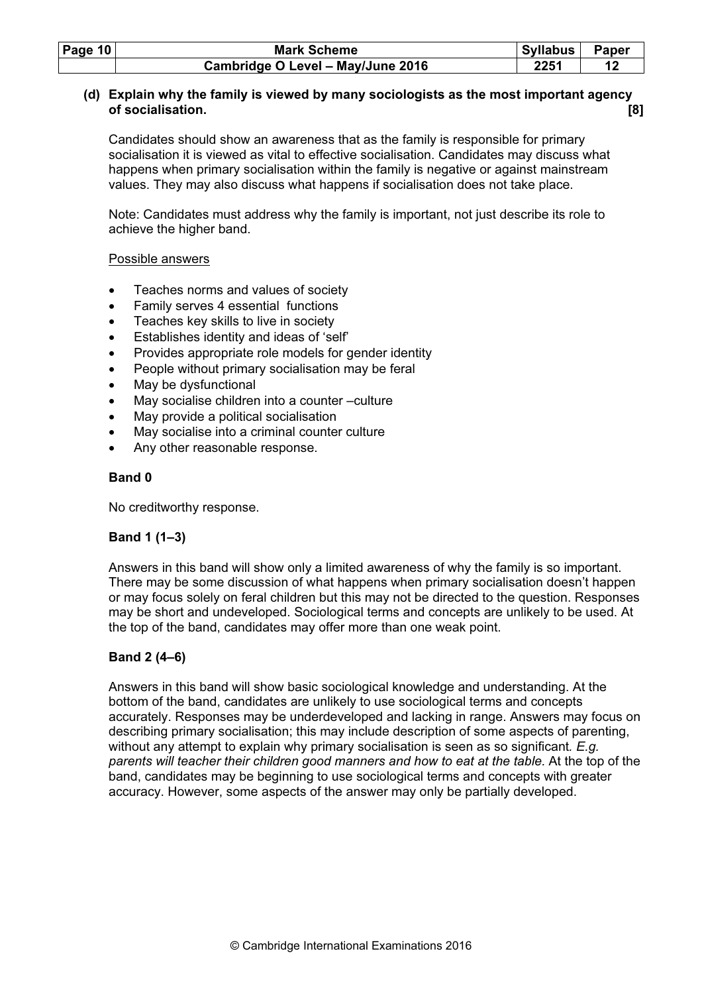| Page $10$ | <b>Mark Scheme</b>                | <b>Syllabus</b> | Paper |
|-----------|-----------------------------------|-----------------|-------|
|           | Cambridge O Level - May/June 2016 | 2251            |       |

## (d) Explain why the family is viewed by many sociologists as the most important agency of socialisation. [8]

Candidates should show an awareness that as the family is responsible for primary socialisation it is viewed as vital to effective socialisation. Candidates may discuss what happens when primary socialisation within the family is negative or against mainstream values. They may also discuss what happens if socialisation does not take place.

Note: Candidates must address why the family is important, not just describe its role to achieve the higher band.

## Possible answers

- Teaches norms and values of society
- Family serves 4 essential functions
- Teaches key skills to live in society
- Establishes identity and ideas of 'self'
- Provides appropriate role models for gender identity
- People without primary socialisation may be feral
- May be dysfunctional
- May socialise children into a counter –culture
- May provide a political socialisation
- May socialise into a criminal counter culture
- Any other reasonable response.

## Band 0

No creditworthy response.

## Band 1 (1–3)

Answers in this band will show only a limited awareness of why the family is so important. There may be some discussion of what happens when primary socialisation doesn't happen or may focus solely on feral children but this may not be directed to the question. Responses may be short and undeveloped. Sociological terms and concepts are unlikely to be used. At the top of the band, candidates may offer more than one weak point.

## Band 2 (4–6)

Answers in this band will show basic sociological knowledge and understanding. At the bottom of the band, candidates are unlikely to use sociological terms and concepts accurately. Responses may be underdeveloped and lacking in range. Answers may focus on describing primary socialisation; this may include description of some aspects of parenting, without any attempt to explain why primary socialisation is seen as so significant. E.g. parents will teacher their children good manners and how to eat at the table. At the top of the band, candidates may be beginning to use sociological terms and concepts with greater accuracy. However, some aspects of the answer may only be partially developed.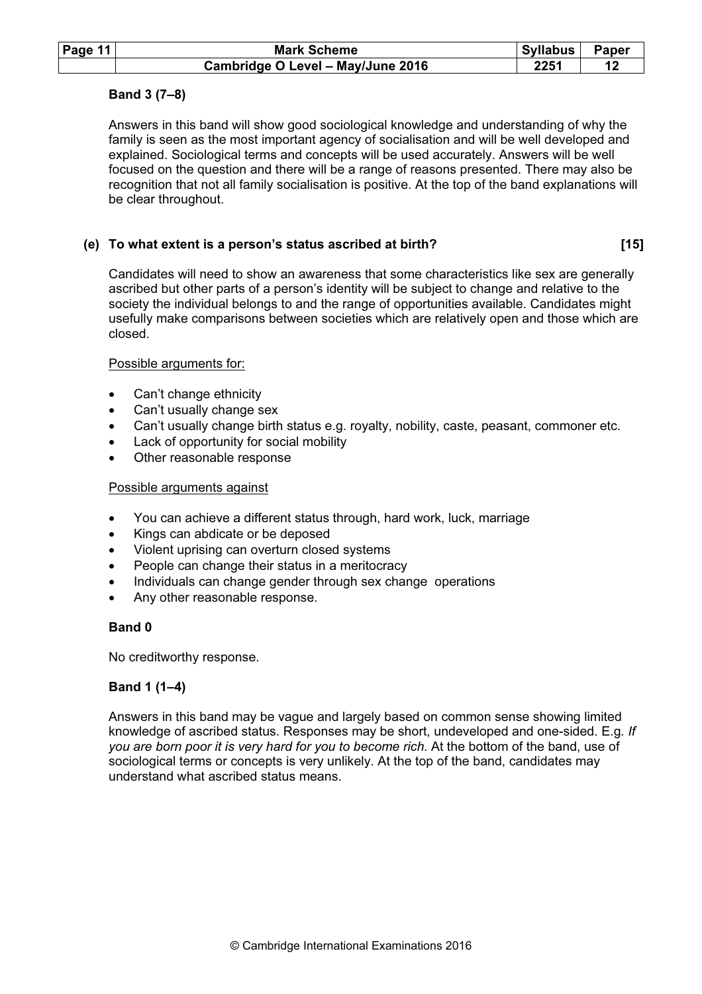| Page 11 | <b>Mark Scheme</b>                | <b>Syllabus</b> | Paper |
|---------|-----------------------------------|-----------------|-------|
|         | Cambridge O Level - May/June 2016 | 2251            |       |

## Band 3 (7–8)

Answers in this band will show good sociological knowledge and understanding of why the family is seen as the most important agency of socialisation and will be well developed and explained. Sociological terms and concepts will be used accurately. Answers will be well focused on the question and there will be a range of reasons presented. There may also be recognition that not all family socialisation is positive. At the top of the band explanations will be clear throughout.

#### (e) To what extent is a person's status ascribed at birth? [15]

Candidates will need to show an awareness that some characteristics like sex are generally ascribed but other parts of a person's identity will be subject to change and relative to the society the individual belongs to and the range of opportunities available. Candidates might usefully make comparisons between societies which are relatively open and those which are closed.

#### Possible arguments for:

- Can't change ethnicity
- Can't usually change sex
- Can't usually change birth status e.g. royalty, nobility, caste, peasant, commoner etc.
- Lack of opportunity for social mobility
- Other reasonable response

#### Possible arguments against

- You can achieve a different status through, hard work, luck, marriage
- Kings can abdicate or be deposed
- Violent uprising can overturn closed systems
- People can change their status in a meritocracy
- Individuals can change gender through sex change operations
- Any other reasonable response.

## Band 0

No creditworthy response.

## Band 1 (1–4)

Answers in this band may be vague and largely based on common sense showing limited knowledge of ascribed status. Responses may be short, undeveloped and one-sided. E.g. If you are born poor it is very hard for you to become rich. At the bottom of the band, use of sociological terms or concepts is very unlikely. At the top of the band, candidates may understand what ascribed status means.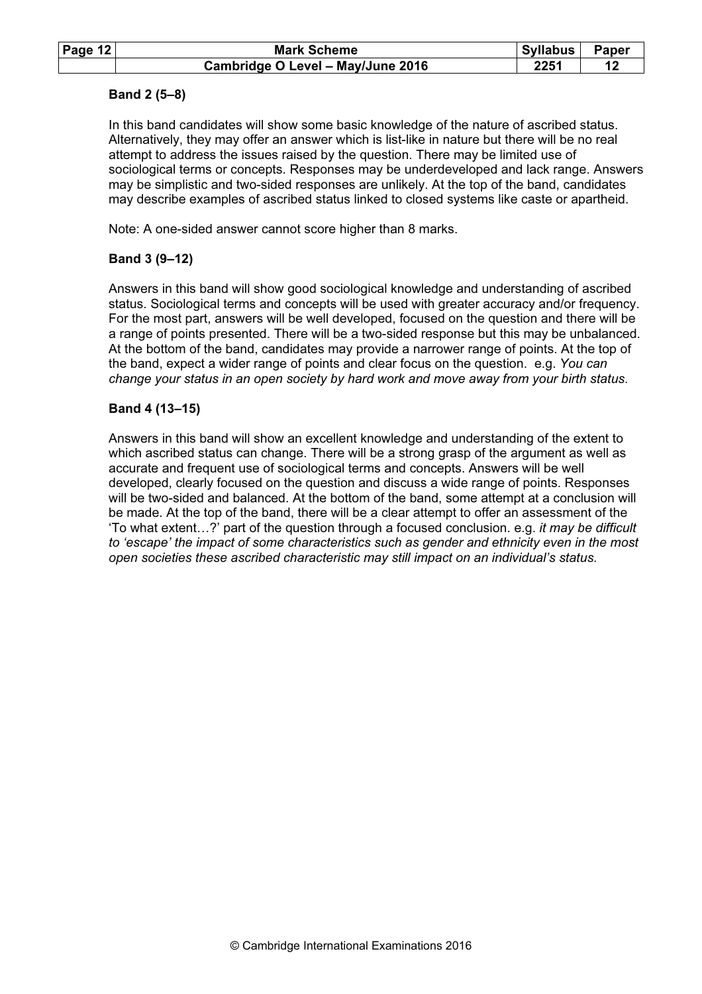| Page $12$ | <b>Mark Scheme</b>                | Syllabus | Paper |
|-----------|-----------------------------------|----------|-------|
|           | Cambridge O Level - May/June 2016 | 2251     |       |

## Band 2 (5–8)

In this band candidates will show some basic knowledge of the nature of ascribed status. Alternatively, they may offer an answer which is list-like in nature but there will be no real attempt to address the issues raised by the question. There may be limited use of sociological terms or concepts. Responses may be underdeveloped and lack range. Answers may be simplistic and two-sided responses are unlikely. At the top of the band, candidates may describe examples of ascribed status linked to closed systems like caste or apartheid.

Note: A one-sided answer cannot score higher than 8 marks.

# Band 3 (9–12)

Answers in this band will show good sociological knowledge and understanding of ascribed status. Sociological terms and concepts will be used with greater accuracy and/or frequency. For the most part, answers will be well developed, focused on the question and there will be a range of points presented. There will be a two-sided response but this may be unbalanced. At the bottom of the band, candidates may provide a narrower range of points. At the top of the band, expect a wider range of points and clear focus on the question. e.g. You can change your status in an open society by hard work and move away from your birth status.

## Band 4 (13–15)

Answers in this band will show an excellent knowledge and understanding of the extent to which ascribed status can change. There will be a strong grasp of the argument as well as accurate and frequent use of sociological terms and concepts. Answers will be well developed, clearly focused on the question and discuss a wide range of points. Responses will be two-sided and balanced. At the bottom of the band, some attempt at a conclusion will be made. At the top of the band, there will be a clear attempt to offer an assessment of the 'To what extent…?' part of the question through a focused conclusion. e.g. it may be difficult to 'escape' the impact of some characteristics such as gender and ethnicity even in the most open societies these ascribed characteristic may still impact on an individual's status.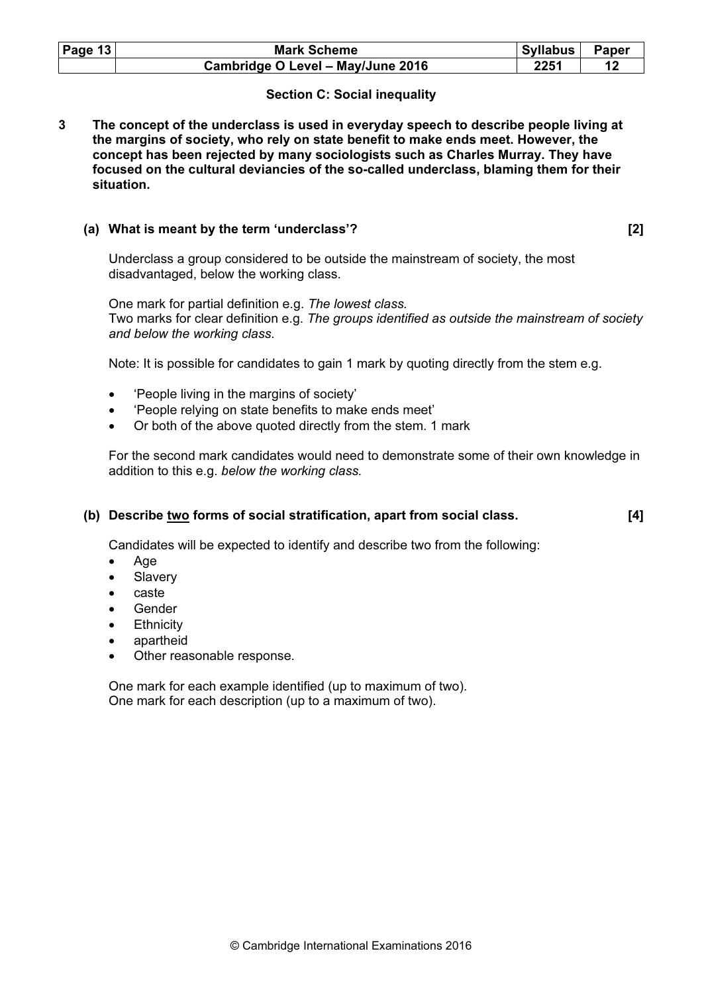| Page $13$ | <b>Mark Scheme</b>                | Syllabus | <b>Paper</b> |
|-----------|-----------------------------------|----------|--------------|
|           | Cambridge O Level - May/June 2016 | 2251     |              |

# Section C: Social inequality

3 The concept of the underclass is used in everyday speech to describe people living at the margins of society, who rely on state benefit to make ends meet. However, the concept has been rejected by many sociologists such as Charles Murray. They have focused on the cultural deviancies of the so-called underclass, blaming them for their situation.

#### (a) What is meant by the term 'underclass'? [2]

Underclass a group considered to be outside the mainstream of society, the most disadvantaged, below the working class.

One mark for partial definition e.g. The lowest class. Two marks for clear definition e.g. The groups identified as outside the mainstream of society and below the working class.

Note: It is possible for candidates to gain 1 mark by quoting directly from the stem e.g.

- 'People living in the margins of society'
- 'People relying on state benefits to make ends meet'
- Or both of the above quoted directly from the stem. 1 mark

For the second mark candidates would need to demonstrate some of their own knowledge in addition to this e.g. below the working class.

## (b) Describe <u>two</u> forms of social stratification, apart from social class.  $[4]$

Candidates will be expected to identify and describe two from the following:

- Age
- Slavery
- caste
- Gender
- **Ethnicity**
- apartheid
- Other reasonable response.

One mark for each example identified (up to maximum of two). One mark for each description (up to a maximum of two).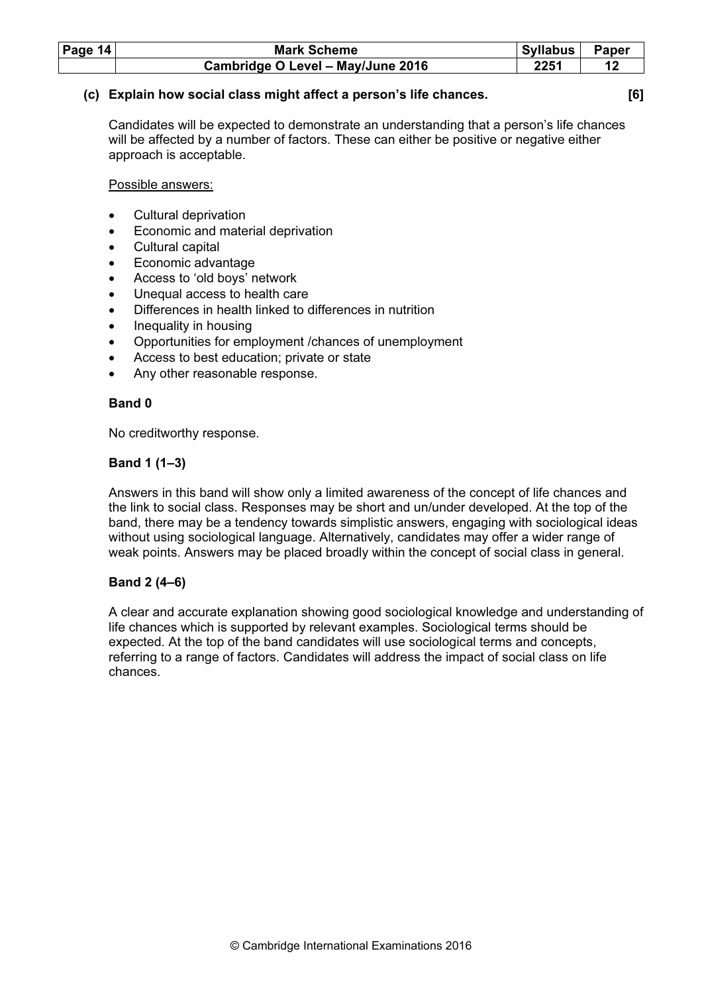| Page $14$ | <b>Mark Scheme</b>                | <b>Syllabus</b> | Paper |
|-----------|-----------------------------------|-----------------|-------|
|           | Cambridge O Level - May/June 2016 | 2251            |       |

## (c) Explain how social class might affect a person's life chances. [6]

Candidates will be expected to demonstrate an understanding that a person's life chances will be affected by a number of factors. These can either be positive or negative either approach is acceptable.

Possible answers:

- Cultural deprivation
- Economic and material deprivation
- Cultural capital
- Economic advantage
- Access to 'old boys' network
- Unequal access to health care
- Differences in health linked to differences in nutrition
- Inequality in housing
- Opportunities for employment /chances of unemployment
- Access to best education; private or state
- Any other reasonable response.

## Band 0

No creditworthy response.

# Band 1 (1–3)

Answers in this band will show only a limited awareness of the concept of life chances and the link to social class. Responses may be short and un/under developed. At the top of the band, there may be a tendency towards simplistic answers, engaging with sociological ideas without using sociological language. Alternatively, candidates may offer a wider range of weak points. Answers may be placed broadly within the concept of social class in general.

## Band 2 (4–6)

A clear and accurate explanation showing good sociological knowledge and understanding of life chances which is supported by relevant examples. Sociological terms should be expected. At the top of the band candidates will use sociological terms and concepts, referring to a range of factors. Candidates will address the impact of social class on life chances.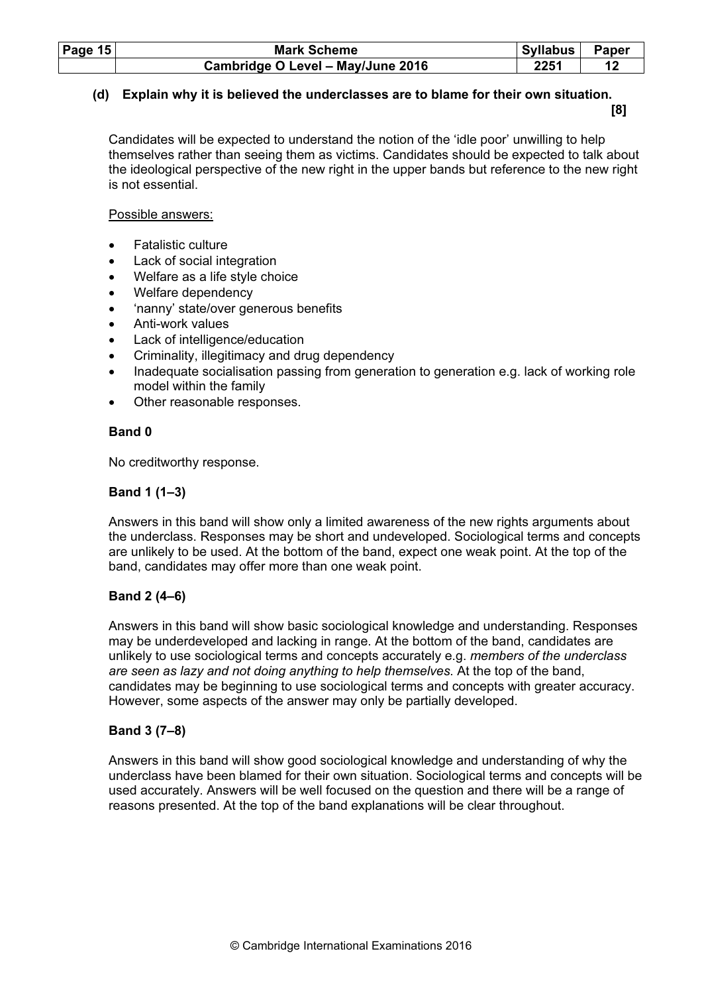| Page $15$ | <b>Mark Scheme</b>                | Syllabus I | Paper |
|-----------|-----------------------------------|------------|-------|
|           | Cambridge O Level - May/June 2016 | 2251       |       |

# (d) Explain why it is believed the underclasses are to blame for their own situation.

[8]

Candidates will be expected to understand the notion of the 'idle poor' unwilling to help themselves rather than seeing them as victims. Candidates should be expected to talk about the ideological perspective of the new right in the upper bands but reference to the new right is not essential.

## Possible answers:

- Fatalistic culture
- Lack of social integration
- Welfare as a life style choice
- Welfare dependency
- 'nanny' state/over generous benefits
- Anti-work values
- Lack of intelligence/education
- Criminality, illegitimacy and drug dependency
- Inadequate socialisation passing from generation to generation e.g. lack of working role model within the family
- Other reasonable responses.

# Band 0

No creditworthy response.

# Band 1 (1–3)

Answers in this band will show only a limited awareness of the new rights arguments about the underclass. Responses may be short and undeveloped. Sociological terms and concepts are unlikely to be used. At the bottom of the band, expect one weak point. At the top of the band, candidates may offer more than one weak point.

# Band 2 (4–6)

Answers in this band will show basic sociological knowledge and understanding. Responses may be underdeveloped and lacking in range. At the bottom of the band, candidates are unlikely to use sociological terms and concepts accurately e.g. members of the underclass are seen as lazy and not doing anything to help themselves. At the top of the band, candidates may be beginning to use sociological terms and concepts with greater accuracy. However, some aspects of the answer may only be partially developed.

# Band 3 (7–8)

Answers in this band will show good sociological knowledge and understanding of why the underclass have been blamed for their own situation. Sociological terms and concepts will be used accurately. Answers will be well focused on the question and there will be a range of reasons presented. At the top of the band explanations will be clear throughout.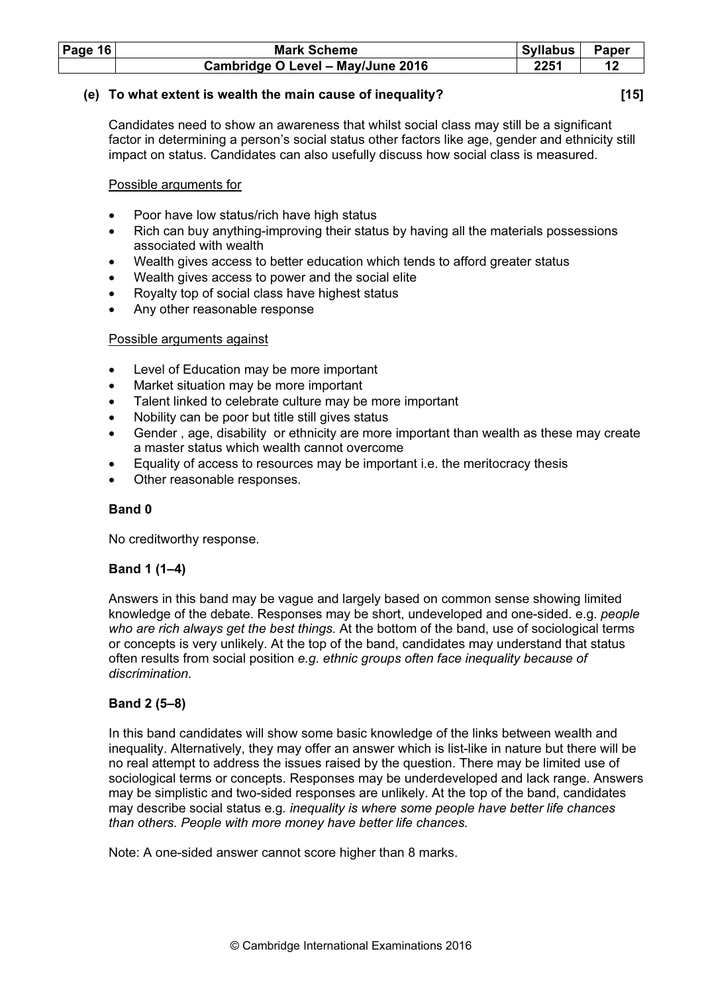| Page $16$ | <b>Mark Scheme</b>                | Syllabus | <b>Paper</b> |
|-----------|-----------------------------------|----------|--------------|
|           | Cambridge O Level - May/June 2016 | 2251     |              |

## (e) To what extent is wealth the main cause of inequality? [15]

Candidates need to show an awareness that whilst social class may still be a significant factor in determining a person's social status other factors like age, gender and ethnicity still impact on status. Candidates can also usefully discuss how social class is measured.

Possible arguments for

- Poor have low status/rich have high status
- Rich can buy anything-improving their status by having all the materials possessions associated with wealth
- Wealth gives access to better education which tends to afford greater status
- Wealth gives access to power and the social elite
- Royalty top of social class have highest status
- Any other reasonable response

#### Possible arguments against

- Level of Education may be more important
- Market situation may be more important
- Talent linked to celebrate culture may be more important
- Nobility can be poor but title still gives status
- Gender , age, disability or ethnicity are more important than wealth as these may create a master status which wealth cannot overcome
- Equality of access to resources may be important i.e. the meritocracy thesis
- Other reasonable responses.

## Band 0

No creditworthy response.

## Band 1 (1–4)

Answers in this band may be vague and largely based on common sense showing limited knowledge of the debate. Responses may be short, undeveloped and one-sided. e.g. people who are rich always get the best things. At the bottom of the band, use of sociological terms or concepts is very unlikely. At the top of the band, candidates may understand that status often results from social position e.g. ethnic groups often face inequality because of discrimination.

## Band 2 (5–8)

In this band candidates will show some basic knowledge of the links between wealth and inequality. Alternatively, they may offer an answer which is list-like in nature but there will be no real attempt to address the issues raised by the question. There may be limited use of sociological terms or concepts. Responses may be underdeveloped and lack range. Answers may be simplistic and two-sided responses are unlikely. At the top of the band, candidates may describe social status e.g. inequality is where some people have better life chances than others. People with more money have better life chances.

Note: A one-sided answer cannot score higher than 8 marks.